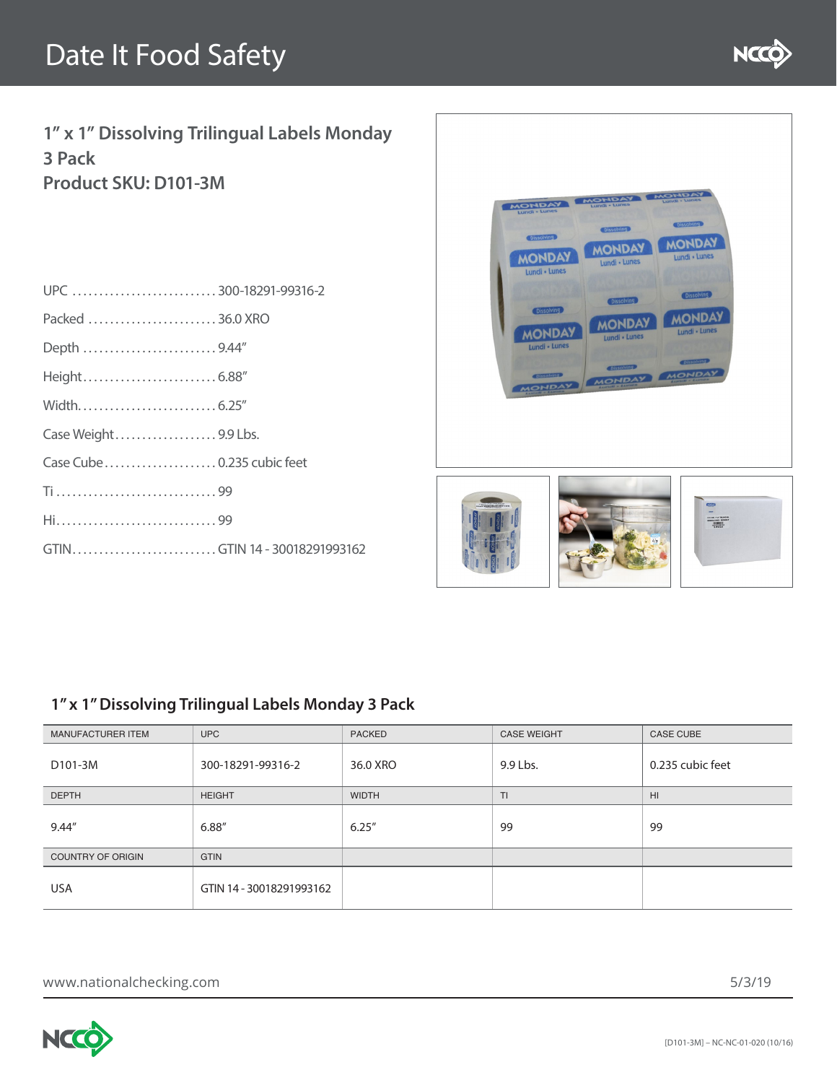

**1" x 1" Dissolving Trilingual Labels Monday 3 Pack Product SKU: D101-3M**

| UPC 300-18291-99316-2        |  |
|------------------------------|--|
| Packed 36.0 XRO              |  |
| Depth 9.44"                  |  |
|                              |  |
|                              |  |
| Case Weight9.9 Lbs.          |  |
|                              |  |
|                              |  |
|                              |  |
| GTINGTIN 14 - 30018291993162 |  |
|                              |  |



### **1" x 1" Dissolving Trilingual Labels Monday 3 Pack**

| <b>MANUFACTURER ITEM</b> | UPC                      | <b>PACKED</b> | <b>CASE WEIGHT</b> | <b>CASE CUBE</b> |
|--------------------------|--------------------------|---------------|--------------------|------------------|
| D101-3M                  | 300-18291-99316-2        | 36.0 XRO      | 9.9 Lbs.           | 0.235 cubic feet |
| <b>DEPTH</b>             | <b>HEIGHT</b>            | <b>WIDTH</b>  | TI.                | H1               |
| 9.44"                    | 6.88"                    | 6.25''        | 99                 | 99               |
| <b>COUNTRY OF ORIGIN</b> | <b>GTIN</b>              |               |                    |                  |
| USA                      | GTIN 14 - 30018291993162 |               |                    |                  |

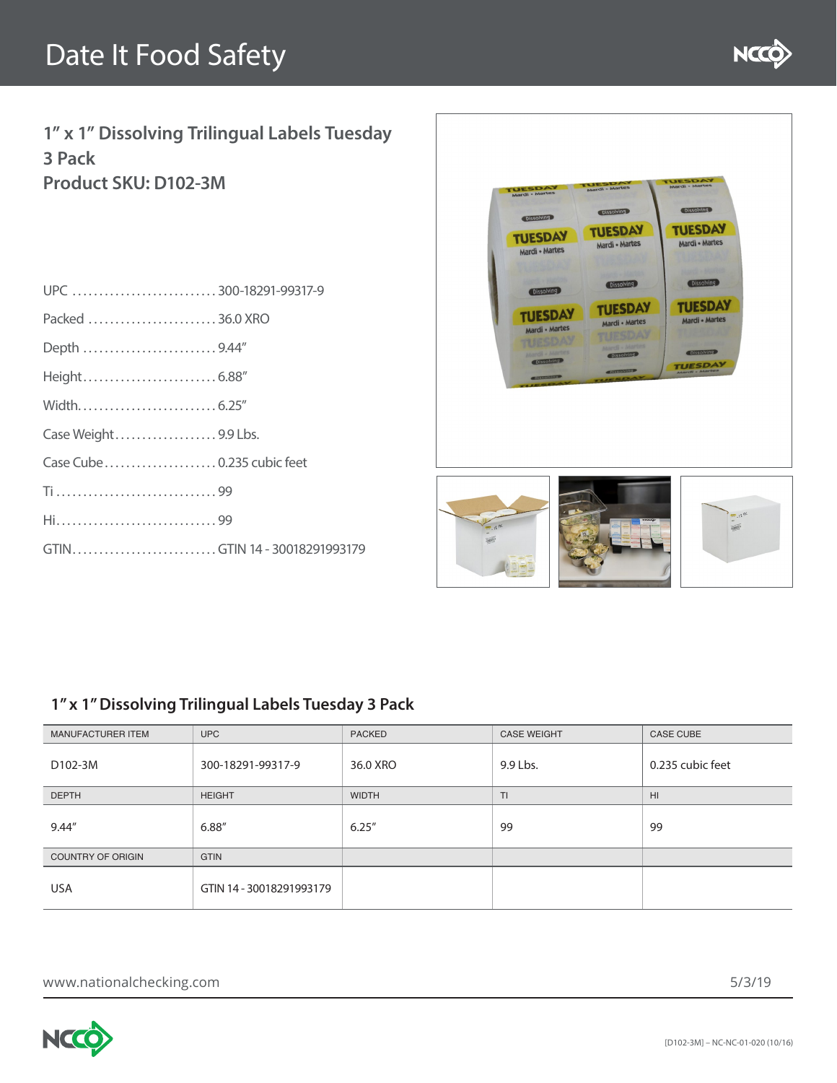

**1" x 1" Dissolving Trilingual Labels Tuesday 3 Pack Product SKU: D102-3M**

| UPC 300-18291-99317-9        |  |
|------------------------------|--|
| Packed 36.0 XRO              |  |
| Depth 9.44"                  |  |
|                              |  |
|                              |  |
| Case Weight9.9 Lbs.          |  |
|                              |  |
|                              |  |
|                              |  |
| GTINGTIN 14 - 30018291993179 |  |
|                              |  |



### **1" x 1" Dissolving Trilingual Labels Tuesday 3 Pack**

| <b>MANUFACTURER ITEM</b> | UPC:                     | <b>PACKED</b> | <b>CASE WEIGHT</b> | <b>CASE CUBE</b> |
|--------------------------|--------------------------|---------------|--------------------|------------------|
| D102-3M                  | 300-18291-99317-9        | 36.0 XRO      | 9.9 Lbs.           | 0.235 cubic feet |
| <b>DEPTH</b>             | <b>HEIGHT</b>            | <b>WIDTH</b>  | TI.                | HI.              |
| 9.44"                    | 6.88"                    | 6.25''        | 99                 | 99               |
| <b>COUNTRY OF ORIGIN</b> | <b>GTIN</b>              |               |                    |                  |
| <b>USA</b>               | GTIN 14 - 30018291993179 |               |                    |                  |

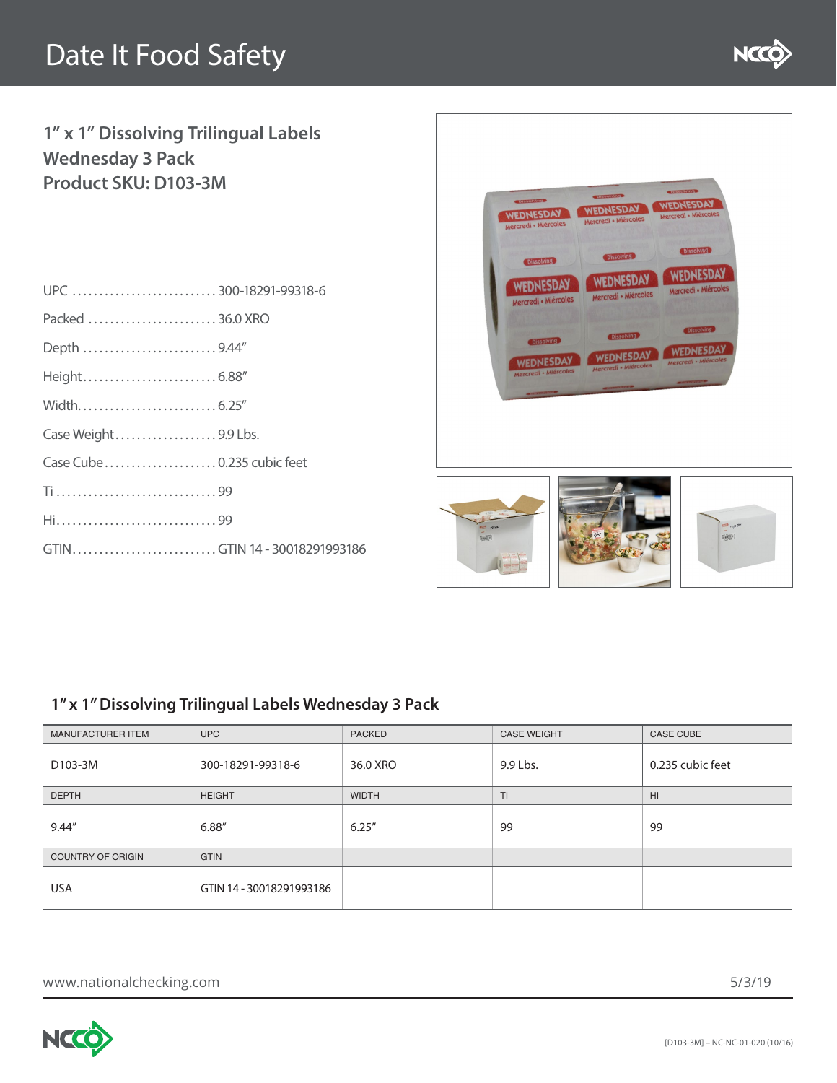

## **1" x 1" Dissolving Trilingual Labels Wednesday 3 Pack Product SKU: D103-3M**

| UPC 300-18291-99318-6        |  |
|------------------------------|--|
| Packed 36.0 XRO              |  |
| Depth 9.44"                  |  |
|                              |  |
|                              |  |
| Case Weight9.9 Lbs.          |  |
| Case Cube 0.235 cubic feet   |  |
|                              |  |
|                              |  |
| GTINGTIN 14 - 30018291993186 |  |
|                              |  |



### **1" x 1" Dissolving Trilingual Labels Wednesday 3 Pack**

| <b>MANUFACTURER ITEM</b> | UPC                      | <b>PACKED</b> | <b>CASE WEIGHT</b> | <b>CASE CUBE</b> |
|--------------------------|--------------------------|---------------|--------------------|------------------|
| D103-3M                  | 300-18291-99318-6        | 36.0 XRO      | 9.9 Lbs.           | 0.235 cubic feet |
| <b>DEPTH</b>             | <b>HEIGHT</b>            | <b>WIDTH</b>  | TI.                | HI.              |
| 9.44"                    | 6.88"                    | 6.25''        | 99                 | 99               |
| <b>COUNTRY OF ORIGIN</b> | <b>GTIN</b>              |               |                    |                  |
| <b>USA</b>               | GTIN 14 - 30018291993186 |               |                    |                  |

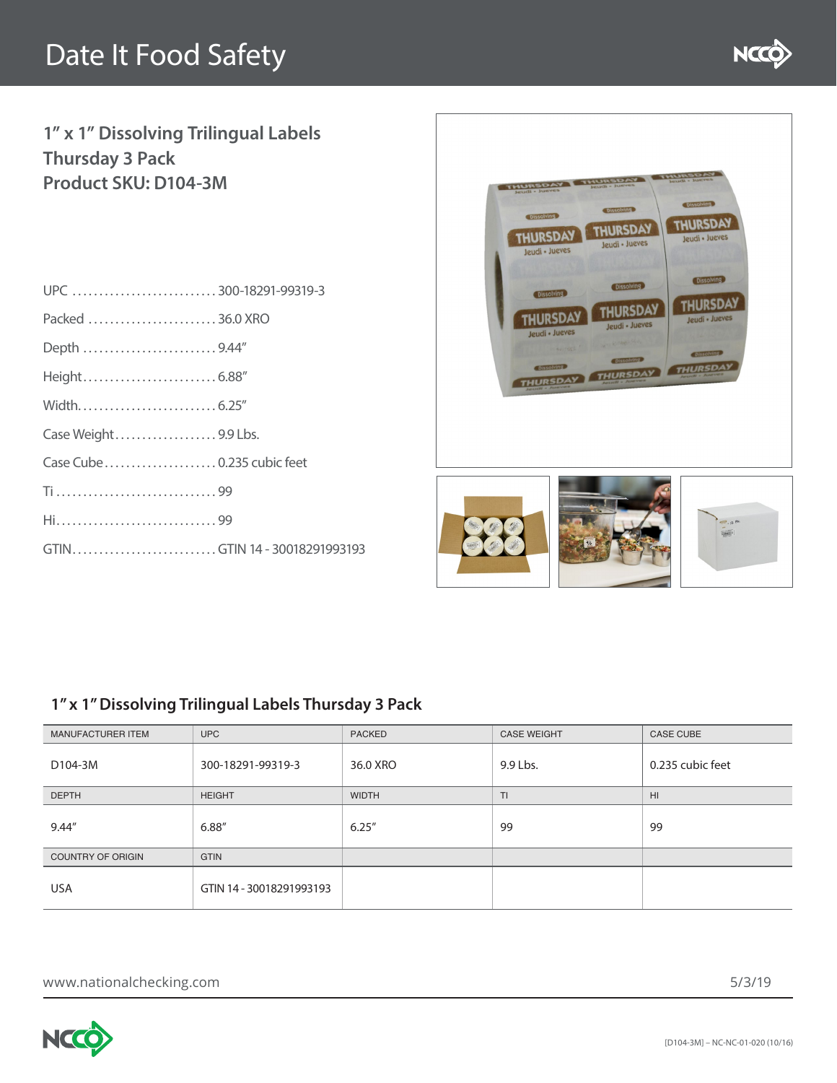

## **1" x 1" Dissolving Trilingual Labels Thursday 3 Pack Product SKU: D104-3M**

| UPC 300-18291-99319-3        |  |
|------------------------------|--|
| Packed 36.0 XRO              |  |
| Depth 9.44"                  |  |
|                              |  |
|                              |  |
| Case Weight9.9 Lbs.          |  |
| Case Cube0.235 cubic feet    |  |
|                              |  |
|                              |  |
| GTINGTIN 14 - 30018291993193 |  |
|                              |  |



### **1" x 1" Dissolving Trilingual Labels Thursday 3 Pack**

| <b>MANUFACTURER ITEM</b> | UPC                      | <b>PACKED</b> | <b>CASE WEIGHT</b> | <b>CASE CUBE</b> |
|--------------------------|--------------------------|---------------|--------------------|------------------|
| D104-3M                  | 300-18291-99319-3        | 36.0 XRO      | 9.9 Lbs.           | 0.235 cubic feet |
| <b>DEPTH</b>             | <b>HEIGHT</b>            | <b>WIDTH</b>  | $T\Gamma$          | H1               |
| 9.44"                    | 6.88"                    | 6.25''        | 99                 | 99               |
| <b>COUNTRY OF ORIGIN</b> | <b>GTIN</b>              |               |                    |                  |
| <b>USA</b>               | GTIN 14 - 30018291993193 |               |                    |                  |

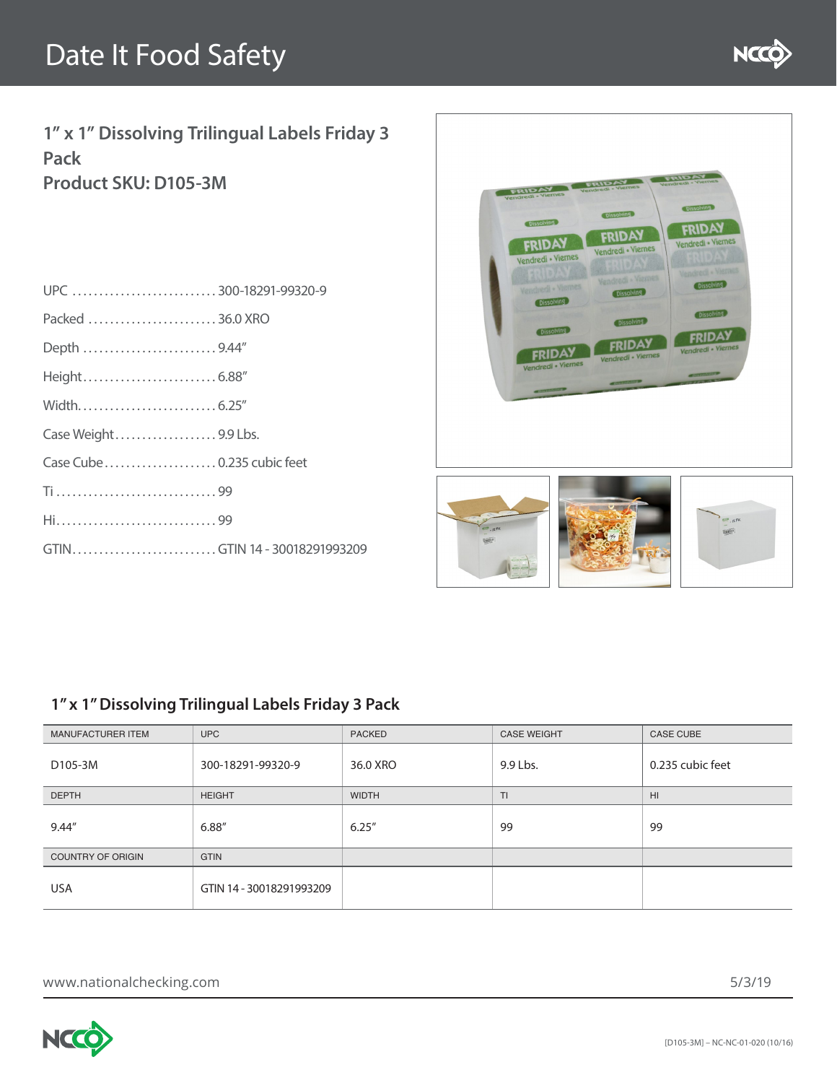

**1" x 1" Dissolving Trilingual Labels Friday 3 Pack Product SKU: D105-3M**

| UPC 300-18291-99320-9        |  |
|------------------------------|--|
| Packed 36.0 XRO              |  |
| Depth 9.44"                  |  |
|                              |  |
|                              |  |
| Case Weight9.9 Lbs.          |  |
| Case Cube0.235 cubic feet    |  |
|                              |  |
|                              |  |
| GTINGTIN 14 - 30018291993209 |  |
|                              |  |



### **1" x 1" Dissolving Trilingual Labels Friday 3 Pack**

| <b>MANUFACTURER ITEM</b> | UPC                      | <b>PACKED</b> | <b>CASE WEIGHT</b> | <b>CASE CUBE</b> |
|--------------------------|--------------------------|---------------|--------------------|------------------|
| D105-3M                  | 300-18291-99320-9        | 36.0 XRO      | 9.9 Lbs.           | 0.235 cubic feet |
| <b>DEPTH</b>             | <b>HEIGHT</b>            | <b>WIDTH</b>  | Шŀ                 | HI.              |
| 9.44"                    | 6.88"                    | 6.25''        | 99                 | 99               |
| <b>COUNTRY OF ORIGIN</b> | <b>GTIN</b>              |               |                    |                  |
| <b>USA</b>               | GTIN 14 - 30018291993209 |               |                    |                  |

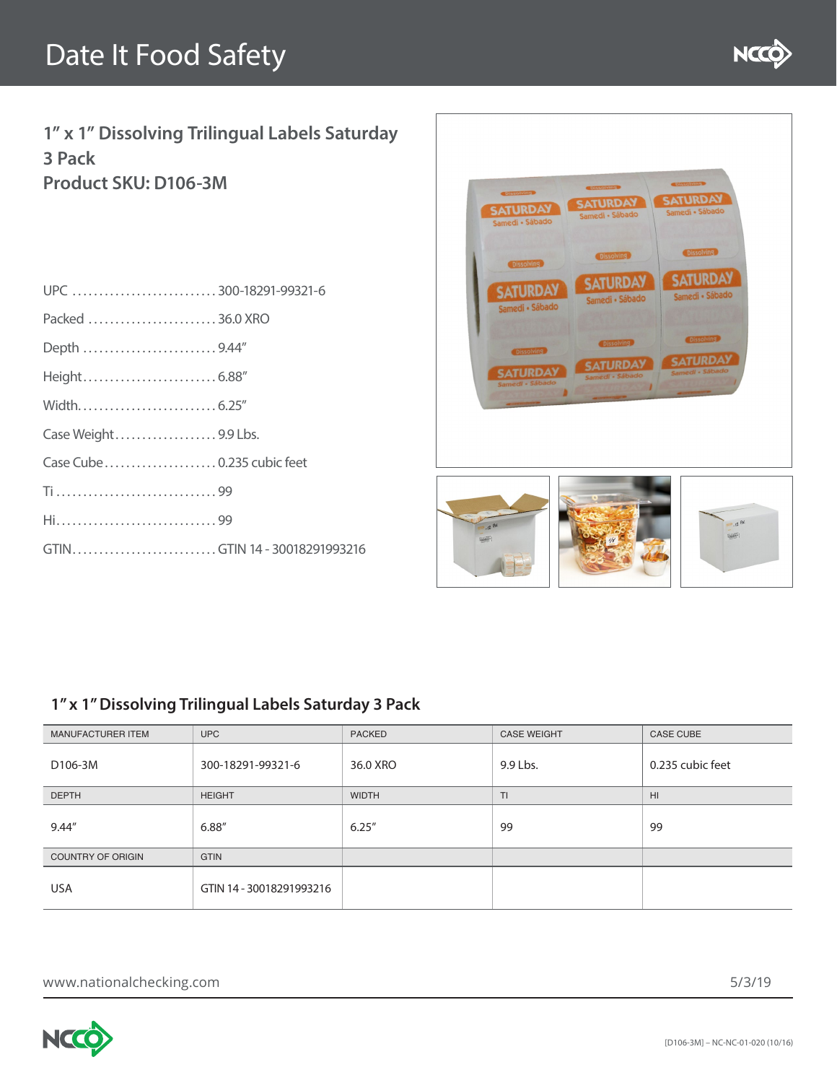

**1" x 1" Dissolving Trilingual Labels Saturday 3 Pack Product SKU: D106-3M**

| UPC 300-18291-99321-6        |  |
|------------------------------|--|
| Packed 36.0 XRO              |  |
| Depth 9.44"                  |  |
|                              |  |
|                              |  |
| Case Weight9.9 Lbs.          |  |
|                              |  |
|                              |  |
|                              |  |
| GTINGTIN 14 - 30018291993216 |  |
|                              |  |



### **1" x 1" Dissolving Trilingual Labels Saturday 3 Pack**

| <b>MANUFACTURER ITEM</b> | UPC:                     | <b>PACKED</b> | <b>CASE WEIGHT</b> | <b>CASE CUBE</b> |
|--------------------------|--------------------------|---------------|--------------------|------------------|
| D106-3M                  | 300-18291-99321-6        | 36.0 XRO      | 9.9 Lbs.           | 0.235 cubic feet |
| <b>DEPTH</b>             | <b>HEIGHT</b>            | <b>WIDTH</b>  | TI.                | HI.              |
| 9.44"                    | 6.88"                    | 6.25''        | 99                 | 99               |
| <b>COUNTRY OF ORIGIN</b> | <b>GTIN</b>              |               |                    |                  |
| <b>USA</b>               | GTIN 14 - 30018291993216 |               |                    |                  |